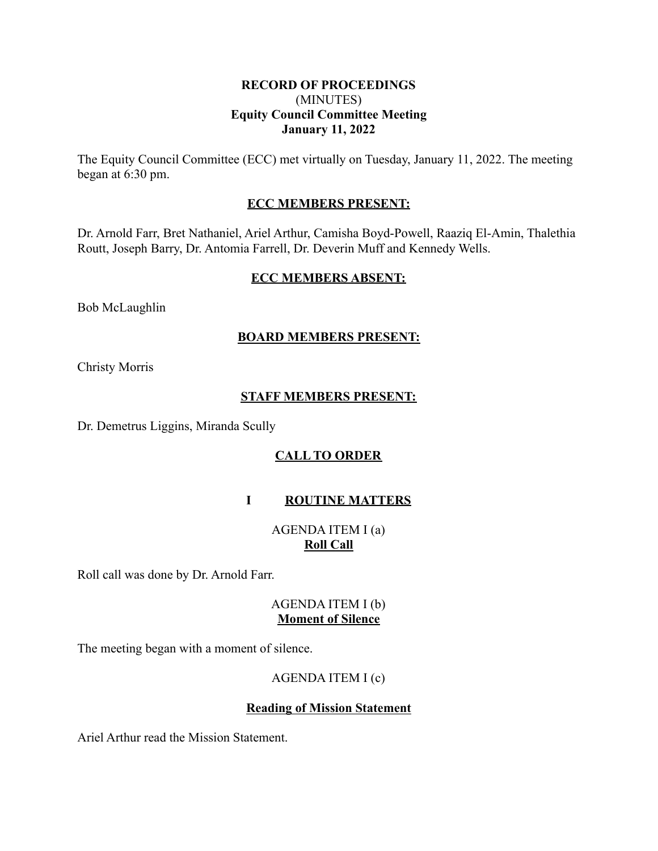### **RECORD OF PROCEEDINGS** (MINUTES) **Equity Council Committee Meeting January 11, 2022**

The Equity Council Committee (ECC) met virtually on Tuesday, January 11, 2022. The meeting began at 6:30 pm.

### **ECC MEMBERS PRESENT:**

Dr. Arnold Farr, Bret Nathaniel, Ariel Arthur, Camisha Boyd-Powell, Raaziq El-Amin, Thalethia Routt, Joseph Barry, Dr. Antomia Farrell, Dr. Deverin Muff and Kennedy Wells.

### **ECC MEMBERS ABSENT:**

Bob McLaughlin

### **BOARD MEMBERS PRESENT:**

Christy Morris

### **STAFF MEMBERS PRESENT:**

Dr. Demetrus Liggins, Miranda Scully

# **CALL TO ORDER**

# **I ROUTINE MATTERS**

AGENDA ITEM I (a) **Roll Call**

Roll call was done by Dr. Arnold Farr.

### AGENDA ITEM I (b) **Moment of Silence**

The meeting began with a moment of silence.

# AGENDA ITEM I (c)

### **Reading of Mission Statement**

Ariel Arthur read the Mission Statement.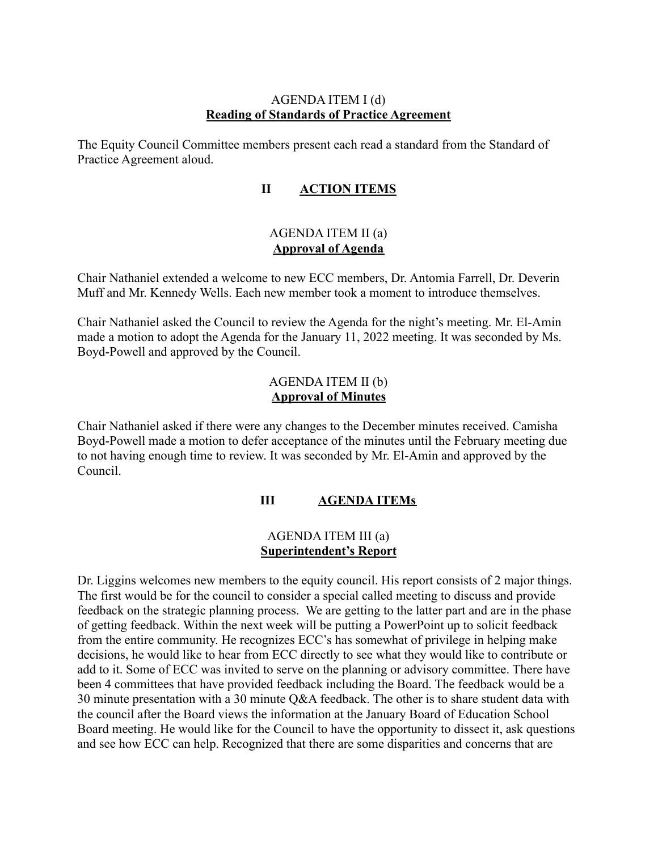### AGENDA ITEM I (d) **Reading of Standards of Practice Agreement**

The Equity Council Committee members present each read a standard from the Standard of Practice Agreement aloud.

# **II ACTION ITEMS**

### AGENDA ITEM II (a) **Approval of Agenda**

Chair Nathaniel extended a welcome to new ECC members, Dr. Antomia Farrell, Dr. Deverin Muff and Mr. Kennedy Wells. Each new member took a moment to introduce themselves.

Chair Nathaniel asked the Council to review the Agenda for the night's meeting. Mr. El-Amin made a motion to adopt the Agenda for the January 11, 2022 meeting. It was seconded by Ms. Boyd-Powell and approved by the Council.

### AGENDA ITEM II (b) **Approval of Minutes**

Chair Nathaniel asked if there were any changes to the December minutes received. Camisha Boyd-Powell made a motion to defer acceptance of the minutes until the February meeting due to not having enough time to review. It was seconded by Mr. El-Amin and approved by the Council.

# **III AGENDA ITEMs**

### AGENDA ITEM III (a) **Superintendent's Report**

Dr. Liggins welcomes new members to the equity council. His report consists of 2 major things. The first would be for the council to consider a special called meeting to discuss and provide feedback on the strategic planning process. We are getting to the latter part and are in the phase of getting feedback. Within the next week will be putting a PowerPoint up to solicit feedback from the entire community. He recognizes ECC's has somewhat of privilege in helping make decisions, he would like to hear from ECC directly to see what they would like to contribute or add to it. Some of ECC was invited to serve on the planning or advisory committee. There have been 4 committees that have provided feedback including the Board. The feedback would be a 30 minute presentation with a 30 minute Q&A feedback. The other is to share student data with the council after the Board views the information at the January Board of Education School Board meeting. He would like for the Council to have the opportunity to dissect it, ask questions and see how ECC can help. Recognized that there are some disparities and concerns that are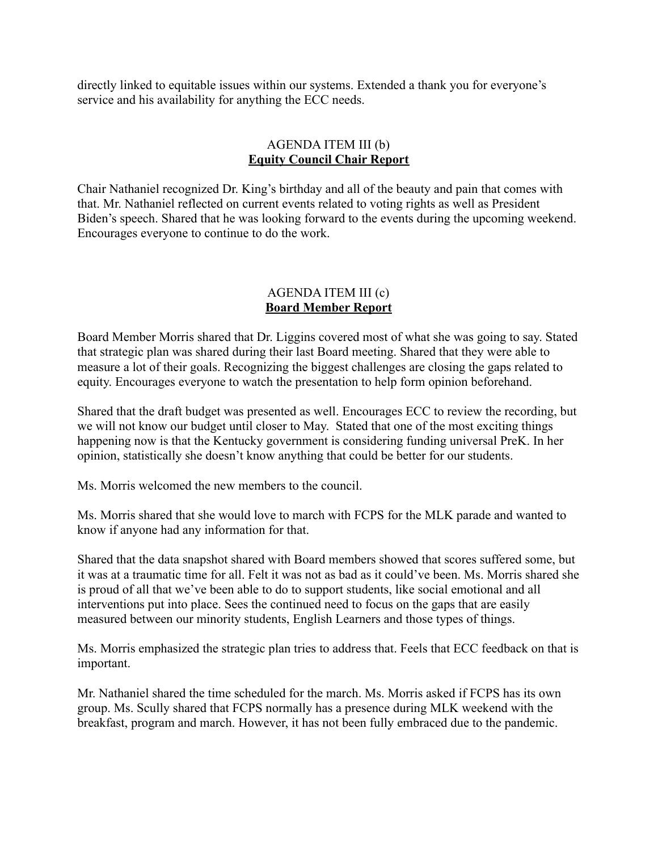directly linked to equitable issues within our systems. Extended a thank you for everyone's service and his availability for anything the ECC needs.

### AGENDA ITEM III (b) **Equity Council Chair Report**

Chair Nathaniel recognized Dr. King's birthday and all of the beauty and pain that comes with that. Mr. Nathaniel reflected on current events related to voting rights as well as President Biden's speech. Shared that he was looking forward to the events during the upcoming weekend. Encourages everyone to continue to do the work.

### AGENDA ITEM III (c) **Board Member Report**

Board Member Morris shared that Dr. Liggins covered most of what she was going to say. Stated that strategic plan was shared during their last Board meeting. Shared that they were able to measure a lot of their goals. Recognizing the biggest challenges are closing the gaps related to equity. Encourages everyone to watch the presentation to help form opinion beforehand.

Shared that the draft budget was presented as well. Encourages ECC to review the recording, but we will not know our budget until closer to May. Stated that one of the most exciting things happening now is that the Kentucky government is considering funding universal PreK. In her opinion, statistically she doesn't know anything that could be better for our students.

Ms. Morris welcomed the new members to the council.

Ms. Morris shared that she would love to march with FCPS for the MLK parade and wanted to know if anyone had any information for that.

Shared that the data snapshot shared with Board members showed that scores suffered some, but it was at a traumatic time for all. Felt it was not as bad as it could've been. Ms. Morris shared she is proud of all that we've been able to do to support students, like social emotional and all interventions put into place. Sees the continued need to focus on the gaps that are easily measured between our minority students, English Learners and those types of things.

Ms. Morris emphasized the strategic plan tries to address that. Feels that ECC feedback on that is important.

Mr. Nathaniel shared the time scheduled for the march. Ms. Morris asked if FCPS has its own group. Ms. Scully shared that FCPS normally has a presence during MLK weekend with the breakfast, program and march. However, it has not been fully embraced due to the pandemic.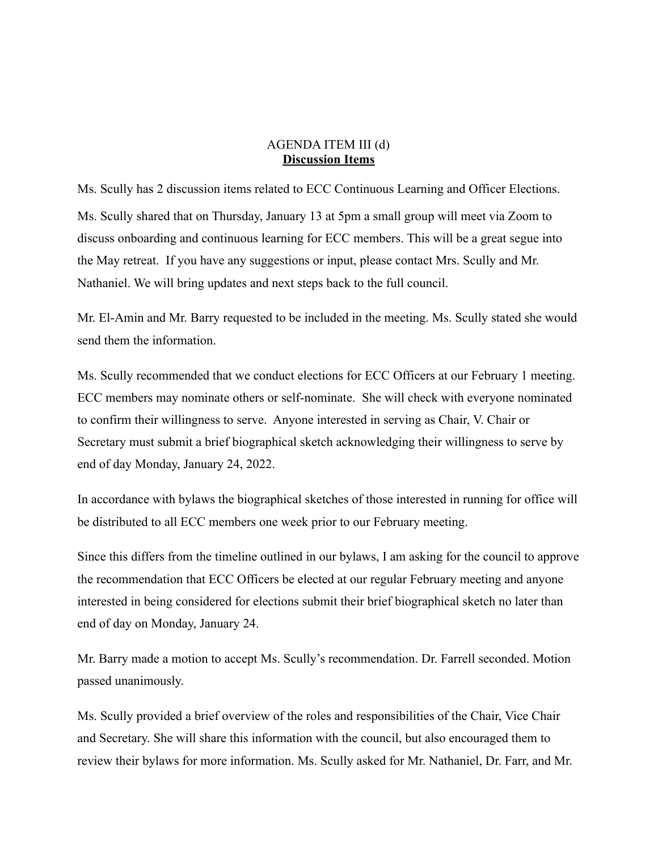#### AGENDA ITEM III (d) **Discussion Items**

Ms. Scully has 2 discussion items related to ECC Continuous Learning and Officer Elections. Ms. Scully shared that on Thursday, January 13 at 5pm a small group will meet via Zoom to discuss onboarding and continuous learning for ECC members. This will be a great segue into the May retreat. If you have any suggestions or input, please contact Mrs. Scully and Mr. Nathaniel. We will bring updates and next steps back to the full council.

Mr. El-Amin and Mr. Barry requested to be included in the meeting. Ms. Scully stated she would send them the information.

Ms. Scully recommended that we conduct elections for ECC Officers at our February 1 meeting. ECC members may nominate others or self-nominate. She will check with everyone nominated to confirm their willingness to serve. Anyone interested in serving as Chair, V. Chair or Secretary must submit a brief biographical sketch acknowledging their willingness to serve by end of day Monday, January 24, 2022.

In accordance with bylaws the biographical sketches of those interested in running for office will be distributed to all ECC members one week prior to our February meeting.

Since this differs from the timeline outlined in our bylaws, I am asking for the council to approve the recommendation that ECC Officers be elected at our regular February meeting and anyone interested in being considered for elections submit their brief biographical sketch no later than end of day on Monday, January 24.

Mr. Barry made a motion to accept Ms. Scully's recommendation. Dr. Farrell seconded. Motion passed unanimously.

Ms. Scully provided a brief overview of the roles and responsibilities of the Chair, Vice Chair and Secretary. She will share this information with the council, but also encouraged them to review their bylaws for more information. Ms. Scully asked for Mr. Nathaniel, Dr. Farr, and Mr.